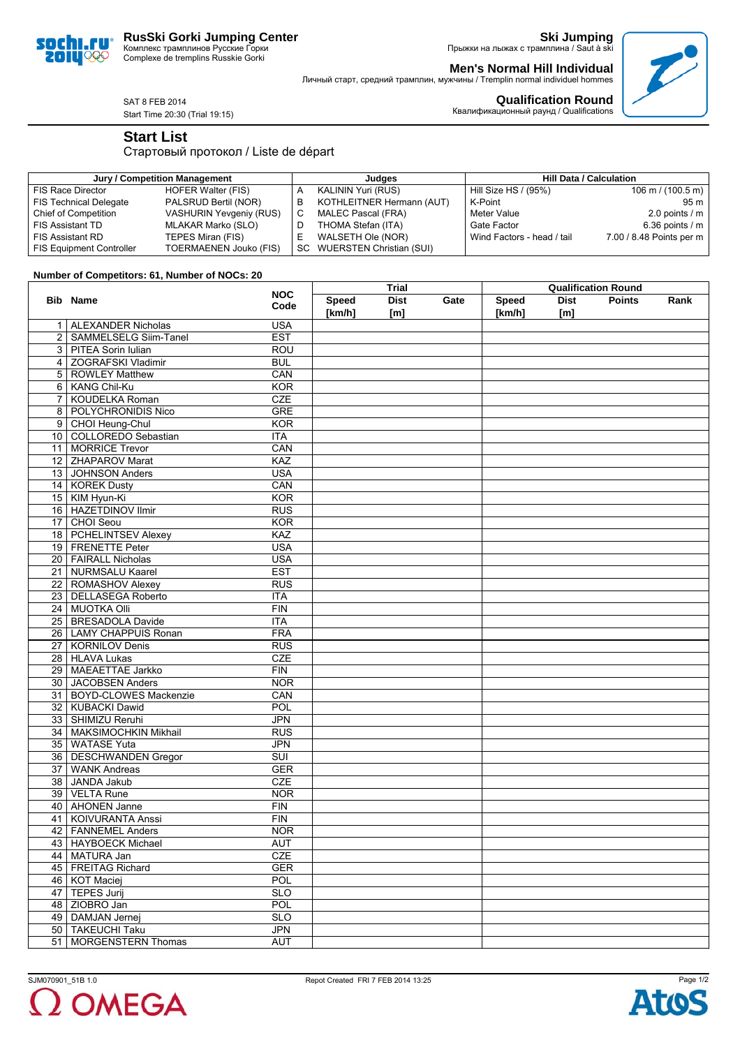



**Ski Jumping** Прыжки на лыжах с трамплина / Saut à ski

**Men's Normal Hill Individual** Личный старт, средний трамплин, мужчины / Tremplin normal individuel hommes



SAT 8 FEB 2014 Start Time 20:30 (Trial 19:15)

**Qualification Round** Квалификационный раунд / Qualifications

## **Start List**

Стартовый протокол / Liste de départ

| Jury / Competition Management   |                                |   | Judaes                      | <b>Hill Data / Calculation</b> |                                     |  |
|---------------------------------|--------------------------------|---|-----------------------------|--------------------------------|-------------------------------------|--|
| FIS Race Director               | HOFER Walter (FIS)             |   | KALININ Yuri (RUS)          | Hill Size HS / (95%)           | $106 \text{ m} / (100.5 \text{ m})$ |  |
| <b>FIS Technical Delegate</b>   | PALSRUD Bertil (NOR)           | в | KOTHLEITNER Hermann (AUT)   | K-Point                        | 95 m                                |  |
| Chief of Competition            | <b>VASHURIN Yevgeniy (RUS)</b> |   | MALEC Pascal (FRA)          | Meter Value                    | 2.0 points $/$ m                    |  |
| <b>FIS Assistant TD</b>         | MLAKAR Marko (SLO)             |   | THOMA Stefan (ITA)          | Gate Factor                    | 6.36 points $/m$                    |  |
| <b>FIS Assistant RD</b>         | TEPES Miran (FIS)              | - | WALSETH Ole (NOR)           | Wind Factors - head / tail     | 7.00 / 8.48 Points per m            |  |
| <b>FIS Equipment Controller</b> | TOERMAENEN Jouko (FIS)         |   | SC WUERSTEN Christian (SUI) |                                |                                     |  |

## **Number of Competitors: 61, Number of NOCs: 20**

|                |                              | <b>NOC</b> | Trial        |             |      | <b>Qualification Round</b> |             |               |      |
|----------------|------------------------------|------------|--------------|-------------|------|----------------------------|-------------|---------------|------|
|                | <b>Bib Name</b>              | Code       | <b>Speed</b> | <b>Dist</b> | Gate | <b>Speed</b>               | <b>Dist</b> | <b>Points</b> | Rank |
|                |                              |            | [km/h]       | [m]         |      | [km/h]                     | [m]         |               |      |
| 1.             | <b>ALEXANDER Nicholas</b>    | <b>USA</b> |              |             |      |                            |             |               |      |
| $\overline{2}$ | <b>SAMMELSELG Siim-Tanel</b> | <b>EST</b> |              |             |      |                            |             |               |      |
| 3              | <b>PITEA Sorin Iulian</b>    | <b>ROU</b> |              |             |      |                            |             |               |      |
| 4              | <b>ZOGRAFSKI Vladimir</b>    | <b>BUL</b> |              |             |      |                            |             |               |      |
| 5              | <b>ROWLEY Matthew</b>        | CAN        |              |             |      |                            |             |               |      |
| 6              | <b>KANG Chil-Ku</b>          | KOR        |              |             |      |                            |             |               |      |
| 7              | <b>KOUDELKA Roman</b>        | <b>CZE</b> |              |             |      |                            |             |               |      |
| 8              | POLYCHRONIDIS Nico           | <b>GRE</b> |              |             |      |                            |             |               |      |
| 9              | CHOI Heung-Chul              | KOR        |              |             |      |                            |             |               |      |
|                | 10   COLLOREDO Sebastian     | <b>ITA</b> |              |             |      |                            |             |               |      |
|                | 11   MORRICE Trevor          | CAN        |              |             |      |                            |             |               |      |
|                | 12 ZHAPAROV Marat            | KAZ        |              |             |      |                            |             |               |      |
|                | 13 JOHNSON Anders            | <b>USA</b> |              |             |      |                            |             |               |      |
|                | 14   KOREK Dusty             | CAN        |              |             |      |                            |             |               |      |
|                | 15   KIM Hyun-Ki             | <b>KOR</b> |              |             |      |                            |             |               |      |
|                | 16   HAZETDINOV Ilmir        | RUS        |              |             |      |                            |             |               |      |
|                | 17 CHOI Seou                 | <b>KOR</b> |              |             |      |                            |             |               |      |
|                | 18   PCHELINTSEV Alexey      | <b>KAZ</b> |              |             |      |                            |             |               |      |
|                | 19 FRENETTE Peter            | <b>USA</b> |              |             |      |                            |             |               |      |
|                | 20 FAIRALL Nicholas          | <b>USA</b> |              |             |      |                            |             |               |      |
|                | 21   NURMSALU Kaarel         | <b>EST</b> |              |             |      |                            |             |               |      |
|                | 22   ROMASHOV Alexey         | RUS        |              |             |      |                            |             |               |      |
|                | 23   DELLASEGA Roberto       | <b>ITA</b> |              |             |      |                            |             |               |      |
|                | 24 MUOTKA Olli               | FIN        |              |             |      |                            |             |               |      |
| 25             | BRESADOLA Davide             | <b>ITA</b> |              |             |      |                            |             |               |      |
|                | 26 LAMY CHAPPUIS Ronan       | <b>FRA</b> |              |             |      |                            |             |               |      |
|                | 27   KORNILOV Denis          | RUS        |              |             |      |                            |             |               |      |
|                | 28 HLAVA Lukas               | <b>CZE</b> |              |             |      |                            |             |               |      |
|                | 29 MAEAETTAE Jarkko          | FIN        |              |             |      |                            |             |               |      |
|                | 30 JACOBSEN Anders           | <b>NOR</b> |              |             |      |                            |             |               |      |
|                | 31 BOYD-CLOWES Mackenzie     | CAN        |              |             |      |                            |             |               |      |
|                | 32   KUBACKI Dawid           | POL        |              |             |      |                            |             |               |      |
|                | 33   SHIMIZU Reruhi          | <b>JPN</b> |              |             |      |                            |             |               |      |
|                | 34   MAKSIMOCHKIN Mikhail    | <b>RUS</b> |              |             |      |                            |             |               |      |
| 35             | <b>WATASE Yuta</b>           | <b>JPN</b> |              |             |      |                            |             |               |      |
|                | 36   DESCHWANDEN Gregor      | SUI        |              |             |      |                            |             |               |      |
|                | 37 WANK Andreas              | <b>GER</b> |              |             |      |                            |             |               |      |
| 38             | JANDA Jakub                  | CZE        |              |             |      |                            |             |               |      |
|                | 39   VELTA Rune              | <b>NOR</b> |              |             |      |                            |             |               |      |
|                | 40   AHONEN Janne            | FIN        |              |             |      |                            |             |               |      |
| 41             | <b>KOIVURANTA Anssi</b>      | <b>FIN</b> |              |             |      |                            |             |               |      |
| 42             | <b>FANNEMEL Anders</b>       | <b>NOR</b> |              |             |      |                            |             |               |      |
|                | 43 HAYBOECK Michael          | <b>AUT</b> |              |             |      |                            |             |               |      |
|                | 44   MATURA Jan              | <b>CZE</b> |              |             |      |                            |             |               |      |
|                | 45   FREITAG Richard         | <b>GER</b> |              |             |      |                            |             |               |      |
|                | 46   KOT Maciej              | <b>POL</b> |              |             |      |                            |             |               |      |
|                | 47   TEPES Jurij             | <b>SLO</b> |              |             |      |                            |             |               |      |
|                | 48 ZIOBRO Jan                | POL        |              |             |      |                            |             |               |      |
|                | 49   DAMJAN Jernej           | <b>SLO</b> |              |             |      |                            |             |               |      |
|                | 50   TAKEUCHI Taku           | <b>JPN</b> |              |             |      |                            |             |               |      |
| 51             | MORGENSTERN Thomas           | AUT        |              |             |      |                            |             |               |      |